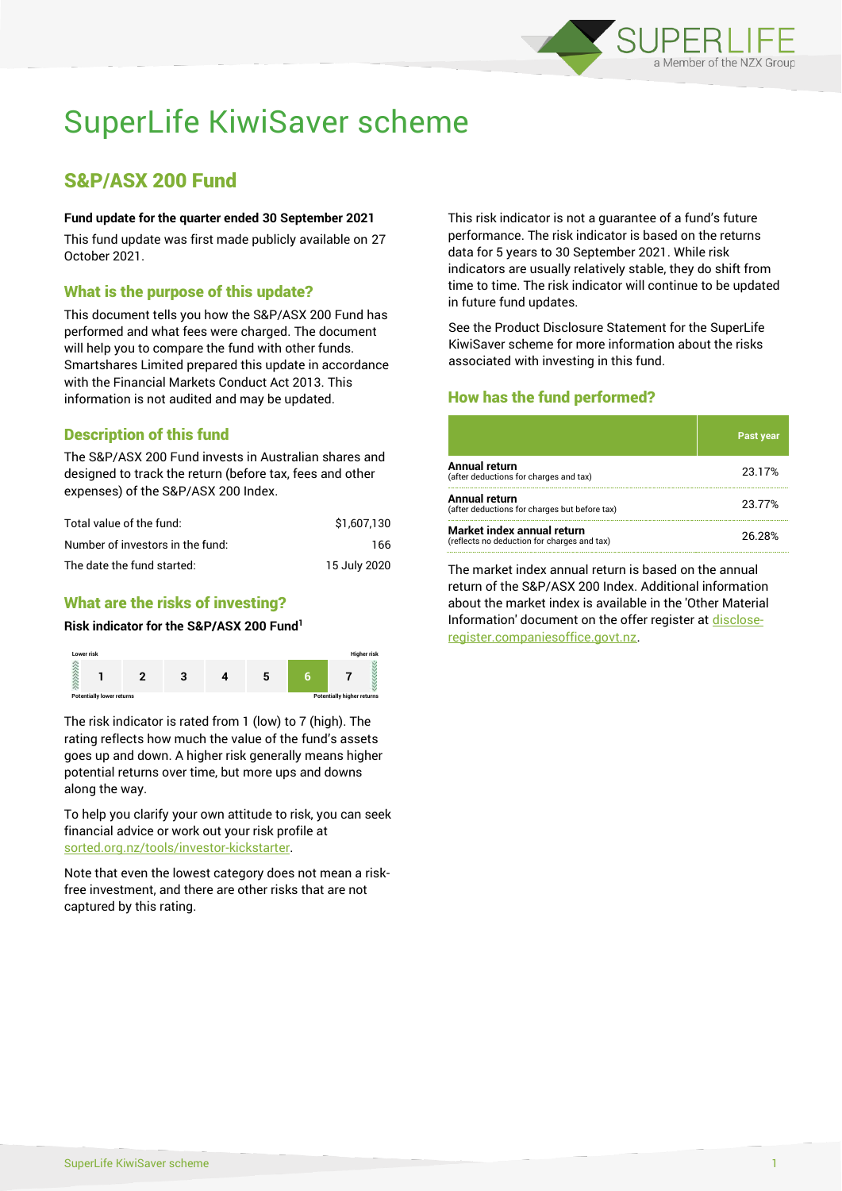

# SuperLife KiwiSaver scheme

# S&P/ASX 200 Fund

#### **Fund update for the quarter ended 30 September 2021**

This fund update was first made publicly available on 27 October 2021.

### What is the purpose of this update?

This document tells you how the S&P/ASX 200 Fund has performed and what fees were charged. The document will help you to compare the fund with other funds. Smartshares Limited prepared this update in accordance with the Financial Markets Conduct Act 2013. This information is not audited and may be updated.

# Description of this fund

The S&P/ASX 200 Fund invests in Australian shares and designed to track the return (before tax, fees and other expenses) of the S&P/ASX 200 Index.

| Total value of the fund:         | \$1,607,130  |
|----------------------------------|--------------|
| Number of investors in the fund: | 166.         |
| The date the fund started:       | 15 July 2020 |

# What are the risks of investing?

#### **Risk indicator for the S&P/ASX 200 Fund<sup>1</sup>**



The risk indicator is rated from 1 (low) to 7 (high). The rating reflects how much the value of the fund's assets goes up and down. A higher risk generally means higher potential returns over time, but more ups and downs along the way.

To help you clarify your own attitude to risk, you can seek financial advice or work out your risk profile at [sorted.org.nz/tools/investor-kickstarter.](http://www.sorted.org.nz/tools/investor-kickstarter)

Note that even the lowest category does not mean a riskfree investment, and there are other risks that are not captured by this rating.

This risk indicator is not a guarantee of a fund's future performance. The risk indicator is based on the returns data for 5 years to 30 September 2021. While risk indicators are usually relatively stable, they do shift from time to time. The risk indicator will continue to be updated in future fund updates.

See the Product Disclosure Statement for the SuperLife KiwiSaver scheme for more information about the risks associated with investing in this fund.

# How has the fund performed?

|                                                                           | <b>Past year</b> |
|---------------------------------------------------------------------------|------------------|
| Annual return<br>(after deductions for charges and tax)                   | 23.17%           |
| Annual return<br>(after deductions for charges but before tax)            | 23.77%           |
| Market index annual return<br>(reflects no deduction for charges and tax) | 26.28%           |

The market index annual return is based on the annual return of the S&P/ASX 200 Index. Additional information about the market index is available in the 'Other Material Information' document on the offer register a[t disclose](http://www.disclose-register.companiesoffice.govt.nz/)[register.companiesoffice.govt.nz.](http://www.disclose-register.companiesoffice.govt.nz/)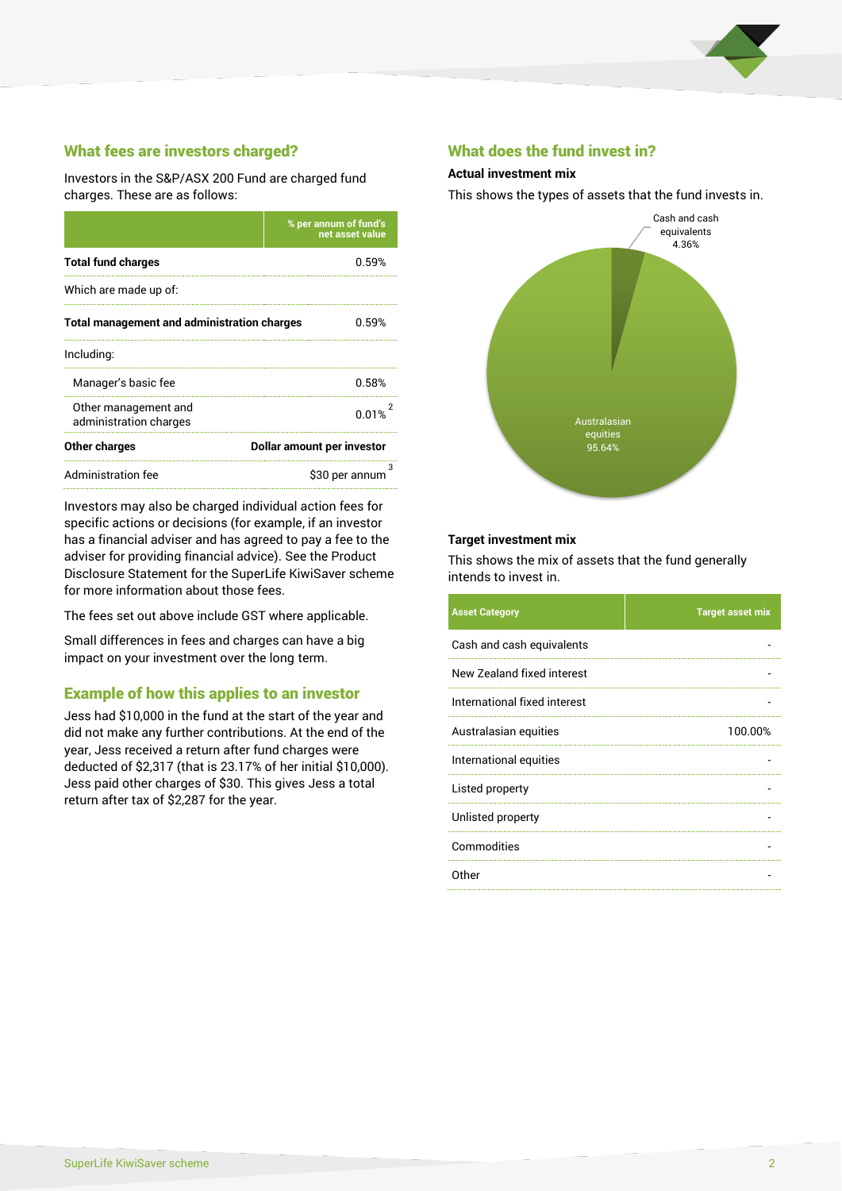

# What fees are investors charged?

Investors in the S&P/ASX 200 Fund are charged fund charges. These are as follows:

|                                                    | % per annum of fund's<br>net asset value |  |
|----------------------------------------------------|------------------------------------------|--|
| <b>Total fund charges</b>                          | 0.59%                                    |  |
| Which are made up of:                              |                                          |  |
| <b>Total management and administration charges</b> | 0.59%                                    |  |
| Including:                                         |                                          |  |
| Manager's basic fee                                | 0.58%                                    |  |
| Other management and<br>administration charges     | 0.01%                                    |  |
| Other charges                                      | Dollar amount per investor               |  |
| Administration fee                                 | з<br>\$30 per annum                      |  |

Investors may also be charged individual action fees for specific actions or decisions (for example, if an investor has a financial adviser and has agreed to pay a fee to the adviser for providing financial advice). See the Product Disclosure Statement for the SuperLife KiwiSaver scheme for more information about those fees.

The fees set out above include GST where applicable.

Small differences in fees and charges can have a big impact on your investment over the long term.

#### Example of how this applies to an investor

Jess had \$10,000 in the fund at the start of the year and did not make any further contributions. At the end of the year, Jess received a return after fund charges were deducted of \$2,317 (that is 23.17% of her initial \$10,000). Jess paid other charges of \$30. This gives Jess a total return after tax of \$2,287 for the year.

#### What does the fund invest in?

#### **Actual investment mix**

This shows the types of assets that the fund invests in.



#### **Target investment mix**

This shows the mix of assets that the fund generally intends to invest in.

| <b>Asset Category</b>        | <b>Target asset mix</b> |
|------------------------------|-------------------------|
| Cash and cash equivalents    |                         |
| New Zealand fixed interest   |                         |
| International fixed interest |                         |
| Australasian equities        | 100.00%                 |
| International equities       |                         |
| Listed property              |                         |
| Unlisted property            |                         |
| Commodities                  |                         |
| Other                        |                         |